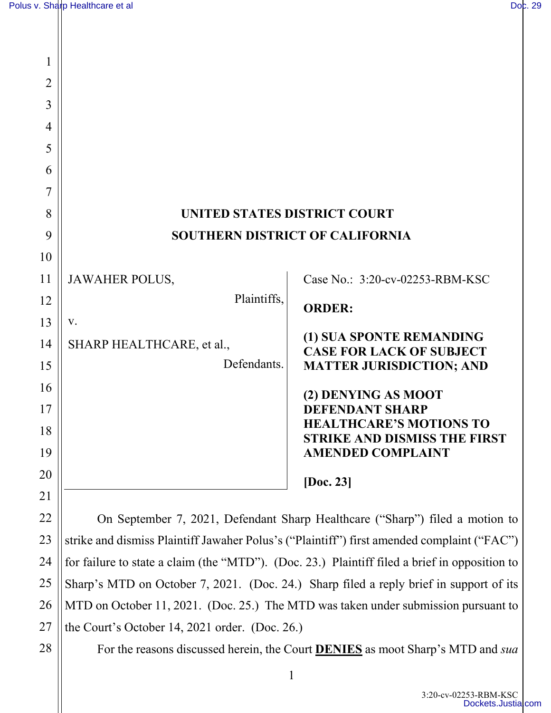| 1              |                                        |                                                                       |
|----------------|----------------------------------------|-----------------------------------------------------------------------|
| $\overline{2}$ |                                        |                                                                       |
| 3              |                                        |                                                                       |
| 4              |                                        |                                                                       |
| 5              |                                        |                                                                       |
| 6              |                                        |                                                                       |
| 7              |                                        |                                                                       |
| 8              | <b>UNITED STATES DISTRICT COURT</b>    |                                                                       |
| 9              | <b>SOUTHERN DISTRICT OF CALIFORNIA</b> |                                                                       |
| 10             |                                        |                                                                       |
| 11             | <b>JAWAHER POLUS,</b>                  | Case No.: 3:20-cv-02253-RBM-KSC                                       |
| 12             | Plaintiffs,                            | <b>ORDER:</b>                                                         |
| 13             | V.                                     |                                                                       |
| 14             | SHARP HEALTHCARE, et al.,              | (1) SUA SPONTE REMANDING<br><b>CASE FOR LACK OF SUBJECT</b>           |
| 15             | Defendants.                            | <b>MATTER JURISDICTION; AND</b>                                       |
| 16             |                                        | (2) DENYING AS MOOT                                                   |
| 17             |                                        | <b>DEFENDANT SHARP</b>                                                |
| 18             |                                        | <b>HEALTHCARE'S MOTIONS TO</b><br><b>STRIKE AND DISMISS THE FIRST</b> |
| 19             |                                        | <b>AMENDED COMPLAINT</b>                                              |
| 20             |                                        | [Doc. 23]                                                             |
| 21             |                                        |                                                                       |

On September 7, 2021, Defendant Sharp Healthcare ("Sharp") filed a motion to strike and dismiss Plaintiff Jawaher Polus's ("Plaintiff") first amended complaint ("FAC") for failure to state a claim (the "MTD"). (Doc. 23.) Plaintiff filed a brief in opposition to Sharp's MTD on October 7, 2021. (Doc. 24.) Sharp filed a reply brief in support of its MTD on October 11, 2021. (Doc. 25.) The MTD was taken under submission pursuant to the Court's October 14, 2021 order. (Doc. 26.)

28

22

23

24

25

26

27

For the reasons discussed herein, the Court **DENIES** as moot Sharp's MTD and *sua*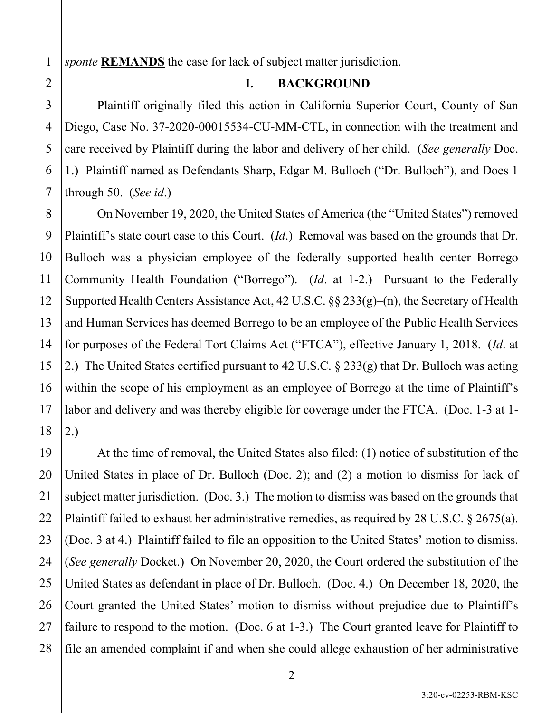*sponte* **REMANDS** the case for lack of subject matter jurisdiction.

## **I. BACKGROUND**

Plaintiff originally filed this action in California Superior Court, County of San Diego, Case No. 37-2020-00015534-CU-MM-CTL, in connection with the treatment and care received by Plaintiff during the labor and delivery of her child. (*See generally* Doc. 1.) Plaintiff named as Defendants Sharp, Edgar M. Bulloch ("Dr. Bulloch"), and Does 1 through 50. (*See id*.)

On November 19, 2020, the United States of America (the "United States") removed Plaintiff's state court case to this Court. (*Id*.) Removal was based on the grounds that Dr. Bulloch was a physician employee of the federally supported health center Borrego Community Health Foundation ("Borrego"). (*Id*. at 1-2.) Pursuant to the Federally Supported Health Centers Assistance Act, 42 U.S.C. §§ 233(g)–(n), the Secretary of Health and Human Services has deemed Borrego to be an employee of the Public Health Services for purposes of the Federal Tort Claims Act ("FTCA"), effective January 1, 2018. (*Id*. at 2.) The United States certified pursuant to 42 U.S.C. § 233(g) that Dr. Bulloch was acting within the scope of his employment as an employee of Borrego at the time of Plaintiff's labor and delivery and was thereby eligible for coverage under the FTCA. (Doc. 1-3 at 1- 2.)

At the time of removal, the United States also filed: (1) notice of substitution of the United States in place of Dr. Bulloch (Doc. 2); and (2) a motion to dismiss for lack of subject matter jurisdiction. (Doc. 3.) The motion to dismiss was based on the grounds that Plaintiff failed to exhaust her administrative remedies, as required by 28 U.S.C. § 2675(a). (Doc. 3 at 4.) Plaintiff failed to file an opposition to the United States' motion to dismiss. (*See generally* Docket.) On November 20, 2020, the Court ordered the substitution of the United States as defendant in place of Dr. Bulloch. (Doc. 4.) On December 18, 2020, the Court granted the United States' motion to dismiss without prejudice due to Plaintiff's failure to respond to the motion. (Doc. 6 at 1-3.) The Court granted leave for Plaintiff to file an amended complaint if and when she could allege exhaustion of her administrative

1

3:20-cv-02253-RBM-KSC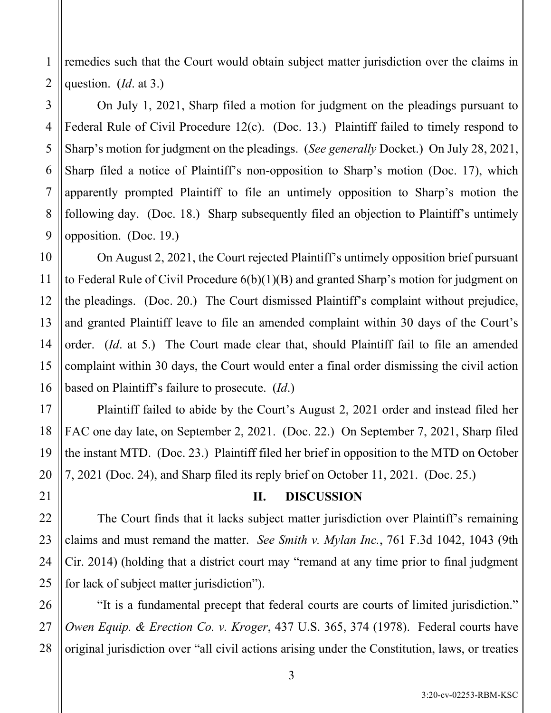remedies such that the Court would obtain subject matter jurisdiction over the claims in question. (*Id*. at 3.)

On July 1, 2021, Sharp filed a motion for judgment on the pleadings pursuant to Federal Rule of Civil Procedure 12(c). (Doc. 13.) Plaintiff failed to timely respond to Sharp's motion for judgment on the pleadings. (*See generally* Docket.) On July 28, 2021, Sharp filed a notice of Plaintiff's non-opposition to Sharp's motion (Doc. 17), which apparently prompted Plaintiff to file an untimely opposition to Sharp's motion the following day. (Doc. 18.) Sharp subsequently filed an objection to Plaintiff's untimely opposition. (Doc. 19.)

On August 2, 2021, the Court rejected Plaintiff's untimely opposition brief pursuant to Federal Rule of Civil Procedure 6(b)(1)(B) and granted Sharp's motion for judgment on the pleadings. (Doc. 20.) The Court dismissed Plaintiff's complaint without prejudice, and granted Plaintiff leave to file an amended complaint within 30 days of the Court's order. (*Id*. at 5.) The Court made clear that, should Plaintiff fail to file an amended complaint within 30 days, the Court would enter a final order dismissing the civil action based on Plaintiff's failure to prosecute. (*Id*.)

Plaintiff failed to abide by the Court's August 2, 2021 order and instead filed her FAC one day late, on September 2, 2021. (Doc. 22.) On September 7, 2021, Sharp filed the instant MTD. (Doc. 23.) Plaintiff filed her brief in opposition to the MTD on October 7, 2021 (Doc. 24), and Sharp filed its reply brief on October 11, 2021. (Doc. 25.)

## **II. DISCUSSION**

The Court finds that it lacks subject matter jurisdiction over Plaintiff's remaining claims and must remand the matter. *See Smith v. Mylan Inc.*, 761 F.3d 1042, 1043 (9th Cir. 2014) (holding that a district court may "remand at any time prior to final judgment for lack of subject matter jurisdiction").

"It is a fundamental precept that federal courts are courts of limited jurisdiction." *Owen Equip. & Erection Co. v. Kroger*, 437 U.S. 365, 374 (1978). Federal courts have original jurisdiction over "all civil actions arising under the Constitution, laws, or treaties

3:20-cv-02253-RBM-KSC

1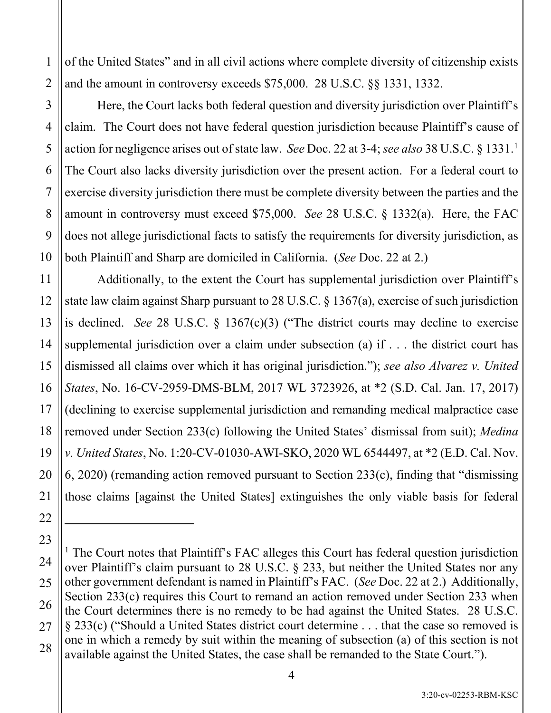of the United States" and in all civil actions where complete diversity of citizenship exists and the amount in controversy exceeds \$75,000. 28 U.S.C. §§ 1331, 1332.

Here, the Court lacks both federal question and diversity jurisdiction over Plaintiff's claim. The Court does not have federal question jurisdiction because Plaintiff's cause of action for negligence arises out of state law. *See* Doc. 22 at 3-4; *see also* 38 U.S.C. § 1331. [1](#page-3-0) The Court also lacks diversity jurisdiction over the present action. For a federal court to exercise diversity jurisdiction there must be complete diversity between the parties and the amount in controversy must exceed \$75,000. *See* 28 U.S.C. § 1332(a). Here, the FAC does not allege jurisdictional facts to satisfy the requirements for diversity jurisdiction, as both Plaintiff and Sharp are domiciled in California. (*See* Doc. 22 at 2.)

Additionally, to the extent the Court has supplemental jurisdiction over Plaintiff's state law claim against Sharp pursuant to 28 U.S.C. § 1367(a), exercise of such jurisdiction is declined. *See* 28 U.S.C. § 1367(c)(3) ("The district courts may decline to exercise supplemental jurisdiction over a claim under subsection (a) if . . . the district court has dismissed all claims over which it has original jurisdiction."); *see also Alvarez v. United States*, No. 16-CV-2959-DMS-BLM, 2017 WL 3723926, at \*2 (S.D. Cal. Jan. 17, 2017) (declining to exercise supplemental jurisdiction and remanding medical malpractice case removed under Section 233(c) following the United States' dismissal from suit); *Medina v. United States*, No. 1:20-CV-01030-AWI-SKO, 2020 WL 6544497, at \*2 (E.D. Cal. Nov. 6, 2020) (remanding action removed pursuant to Section 233(c), finding that "dismissing those claims [against the United States] extinguishes the only viable basis for federal

1

2

<span id="page-3-0"></span><sup>&</sup>lt;sup>1</sup> The Court notes that Plaintiff's FAC alleges this Court has federal question jurisdiction over Plaintiff's claim pursuant to 28 U.S.C. § 233, but neither the United States nor any other government defendant is named in Plaintiff's FAC. (*See* Doc. 22 at 2.) Additionally, Section 233(c) requires this Court to remand an action removed under Section 233 when the Court determines there is no remedy to be had against the United States. 28 U.S.C. § 233(c) ("Should a United States district court determine . . . that the case so removed is one in which a remedy by suit within the meaning of subsection (a) of this section is not available against the United States, the case shall be remanded to the State Court.").